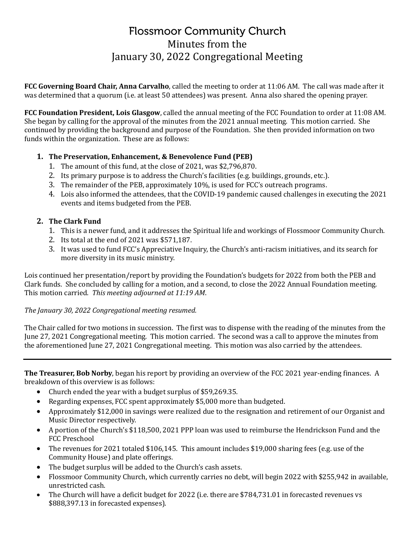## **Flossmoor Community Church** Minutes from the January 30, 2022 Congregational Meeting

**FCC Governing Board Chair, Anna Carvalho**, called the meeting to order at 11:06 AM. The call was made after it was determined that a quorum (i.e. at least 50 attendees) was present. Anna also shared the opening prayer.

**FCC Foundation President, Lois Glasgow**, called the annual meeting of the FCC Foundation to order at 11:08 AM. She began by calling for the approval of the minutes from the 2021 annual meeting. This motion carried. She continued by providing the background and purpose of the Foundation. She then provided information on two funds within the organization. These are as follows:

## **1. The Preservation, Enhancement, & Benevolence Fund (PEB)**

- 1. The amount of this fund, at the close of 2021, was \$2,796,870.
- 2. Its primary purpose is to address the Church's facilities (e.g. buildings, grounds, etc.).
- 3. The remainder of the PEB, approximately 10%, is used for FCC's outreach programs.
- 4. Lois also informed the attendees, that the COVID-19 pandemic caused challenges in executing the 2021 events and items budgeted from the PEB.

## **2. The Clark Fund**

- 1. This is a newer fund, and it addresses the Spiritual life and workings of Flossmoor Community Church.
- 2. Its total at the end of 2021 was \$571,187.
- 3. It was used to fund FCC's Appreciative Inquiry, the Church's anti-racism initiatives, and its search for more diversity in its music ministry.

Lois continued her presentation/report by providing the Foundation's budgets for 2022 from both the PEB and Clark funds. She concluded by calling for a motion, and a second, to close the 2022 Annual Foundation meeting. This motion carried. *This meeting adjourned at 11:19 AM*.

## *The January 30, 2022 Congregational meeting resumed.*

The Chair called for two motions in succession. The first was to dispense with the reading of the minutes from the June 27, 2021 Congregational meeting. This motion carried. The second was a call to approve the minutes from the aforementioned June 27, 2021 Congregational meeting. This motion was also carried by the attendees.

**The Treasurer, Bob Norby**, began his report by providing an overview of the FCC 2021 year-ending finances. A breakdown of this overview is as follows:

- Church ended the year with a budget surplus of \$59,269.35.
- Regarding expenses, FCC spent approximately \$5,000 more than budgeted.
- Approximately \$12,000 in savings were realized due to the resignation and retirement of our Organist and Music Director respectively.
- A portion of the Church's \$118,500, 2021 [PPP](https://www.sba.gov/funding-programs/loans/covid-19-relief-options/paycheck-protection-program) loan was used to reimburse the Hendrickson Fund and the FCC Preschool
- The revenues for 2021 totaled \$106,145. This amount includes \$19,000 sharing fees (e.g. use of the Community House) and plate offerings.
- The budget surplus will be added to the Church's cash assets.
- Flossmoor Community Church, which currently carries no debt, will begin 2022 with \$255,942 in available, unrestricted cash.
- The Church will have a deficit budget for 2022 (i.e. there are \$784,731.01 in forecasted revenues vs \$888,397.13 in forecasted expenses).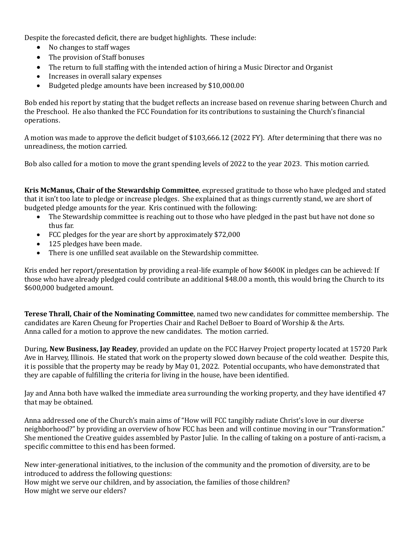Despite the forecasted deficit, there are budget highlights. These include:

- No changes to staff wages
- The provision of Staff bonuses
- The return to full staffing with the intended action of hiring a Music Director and Organist
- Increases in overall salary expenses
- Budgeted pledge amounts have been increased by \$10,000.00

Bob ended his report by stating that the budget reflects an increase based on revenue sharing between Church and the Preschool. He also thanked the FCC Foundation for its contributions to sustaining the Church's financial operations.

A motion was made to approve the deficit budget of \$103,666.12 (2022 FY). After determining that there was no unreadiness, the motion carried.

Bob also called for a motion to move the grant spending levels of 2022 to the year 2023. This motion carried.

**Kris McManus, Chair of the Stewardship Committee**, expressed gratitude to those who have pledged and stated that it isn't too late to pledge or increase pledges. She explained that as things currently stand, we are short of budgeted pledge amounts for the year. Kris continued with the following:

- The Stewardship committee is reaching out to those who have pledged in the past but have not done so thus far.
- FCC pledges for the year are short by approximately \$72,000
- 125 pledges have been made.
- There is one unfilled seat available on the Stewardship committee.

Kris ended her report/presentation by providing a real-life example of how \$600K in pledges can be achieved: If those who have already pledged could contribute an additional \$48.00 a month, this would bring the Church to its \$600,000 budgeted amount.

**Terese Thrall, Chair of the Nominating Committee**, named two new candidates for committee membership. The candidates are Karen Cheung for Properties Chair and Rachel DeBoer to Board of Worship & the Arts. Anna called for a motion to approve the new candidates. The motion carried.

During, **New Business, Jay Readey**, provided an update on the FCC Harvey Project property located at 15720 Park Ave in Harvey, Illinois. He stated that work on the property slowed down because of the cold weather. Despite this, it is possible that the property may be ready by May 01, 2022. Potential occupants, who have demonstrated that they are capable of fulfilling the criteria for living in the house, have been identified.

Jay and Anna both have walked the immediate area surrounding the working property, and they have identified 47 that may be obtained.

Anna addressed one of the Church's main aims of "How will FCC tangibly radiate Christ's love in our diverse neighborhood?" by providing an overview of how FCC has been and will continue moving in our "Transformation." She mentioned the Creative guides assembled by Pastor Julie. In the calling of taking on a posture of anti-racism, a specific committee to this end has been formed.

New inter-generational initiatives, to the inclusion of the community and the promotion of diversity, are to be introduced to address the following questions:

How might we serve our children, and by association, the families of those children? How might we serve our elders?